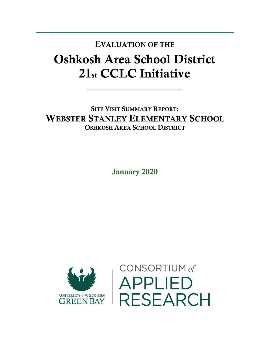## Oshkosh Area School District 21st CCLC Initiative EVALUATION OF THE

SITE VISIT SUMMARY REPORT: WEBSTER STANLEY ELEMENTARY SCHOOL OSHKOSH AREA SCHOOL DISTRICT

January 2020



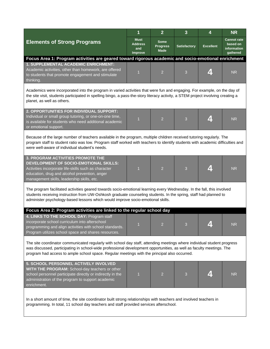|                                                                                                                                                                                                                                                                                                                                                 | 1                                               | $\overline{2}$                                | 3                   | 4                | <b>NR</b>                                                 |  |  |  |  |
|-------------------------------------------------------------------------------------------------------------------------------------------------------------------------------------------------------------------------------------------------------------------------------------------------------------------------------------------------|-------------------------------------------------|-----------------------------------------------|---------------------|------------------|-----------------------------------------------------------|--|--|--|--|
| <b>Elements of Strong Programs</b>                                                                                                                                                                                                                                                                                                              | <b>Must</b><br><b>Address</b><br>and<br>Improve | <b>Some</b><br><b>Progress</b><br><b>Made</b> | <b>Satisfactory</b> | <b>Excellent</b> | <b>Cannot rate</b><br>based on<br>information<br>gathered |  |  |  |  |
| Focus Area 1: Program activities are geared toward rigorous academic and socio-emotional enrichment                                                                                                                                                                                                                                             |                                                 |                                               |                     |                  |                                                           |  |  |  |  |
| 1. SUPPLEMENTAL ACADEMIC ENRICHMENT:<br>Academic activities, other than homework, are offered<br>to students that promote engagement and stimulate<br>thinking.                                                                                                                                                                                 | $\overline{1}$                                  | $\overline{2}$                                | 3                   |                  | <b>NR</b>                                                 |  |  |  |  |
| Academics were incorporated into the program in varied activities that were fun and engaging. For example, on the day of<br>the site visit, students participated in spelling bingo, a pass-the-story literacy activity, a STEM project involving creating a<br>planet, as well as others.                                                      |                                                 |                                               |                     |                  |                                                           |  |  |  |  |
| 2. OPPORTUNITIES FOR INDIVIDUAL SUPPORT:<br>Individual or small group tutoring, or one-on-one time,<br>is available for students who need additional academic<br>or emotional support.                                                                                                                                                          | $\overline{1}$                                  | $\overline{2}$                                | 3                   | 41               | <b>NR</b>                                                 |  |  |  |  |
| Because of the large number of teachers available in the program, multiple children received tutoring regularly. The<br>program staff to student ratio was low. Program staff worked with teachers to identify students with academic difficulties and<br>were well-aware of individual student's needs.                                        |                                                 |                                               |                     |                  |                                                           |  |  |  |  |
| <b>3. PROGRAM ACTIVITIES PROMOTE THE</b><br>DEVELOPMENT OF SOCIO-EMOTIONAL SKILLS:<br>Activities incorporate life-skills such as character<br>education, drug and alcohol prevention, anger<br>management skills, leadership skills, etc.                                                                                                       | $\overline{1}$                                  | $\overline{2}$                                | 3                   | 4                | <b>NR</b>                                                 |  |  |  |  |
| The program facilitated activities geared towards socio-emotional learning every Wednesday. In the fall, this involved<br>students receiving instruction from UW-Oshkosh graduate counseling students. In the spring, staff had planned to<br>administer psychology-based lessons which would improve socio-emotional skills.                   |                                                 |                                               |                     |                  |                                                           |  |  |  |  |
| Focus Area 2: Program activities are linked to the regular school day                                                                                                                                                                                                                                                                           |                                                 |                                               |                     |                  |                                                           |  |  |  |  |
| 4. LINKS TO THE SCHOOL DAY: Program staff<br>incorporate school curriculum into afterschool<br>programming and align activities with school standards.<br>Program utilizes school space and shares resources.                                                                                                                                   | $\overline{4}$                                  |                                               |                     |                  | <b>NR</b>                                                 |  |  |  |  |
| The site coordinator communicated regularly with school day staff, attending meetings where individual student progress<br>was discussed, participating in school-wide professional development opportunities, as well as faculty meetings. The<br>program had access to ample school space. Regular meetings with the principal also occurred. |                                                 |                                               |                     |                  |                                                           |  |  |  |  |
| 5. SCHOOL PERSONNEL ACTIVELY INVOLVED<br>WITH THE PROGRAM: School-day teachers or other<br>school personnel participate directly or indirectly in the<br>administration of the program to support academic<br>enrichment.                                                                                                                       | $\overline{1}$                                  | $\overline{2}$                                | 3                   |                  | <b>NR</b>                                                 |  |  |  |  |
| In a short amount of time, the site coordinator built strong relationships with teachers and involved teachers in<br>programming. In total, 11 school day teachers and staff provided services afterschool.                                                                                                                                     |                                                 |                                               |                     |                  |                                                           |  |  |  |  |